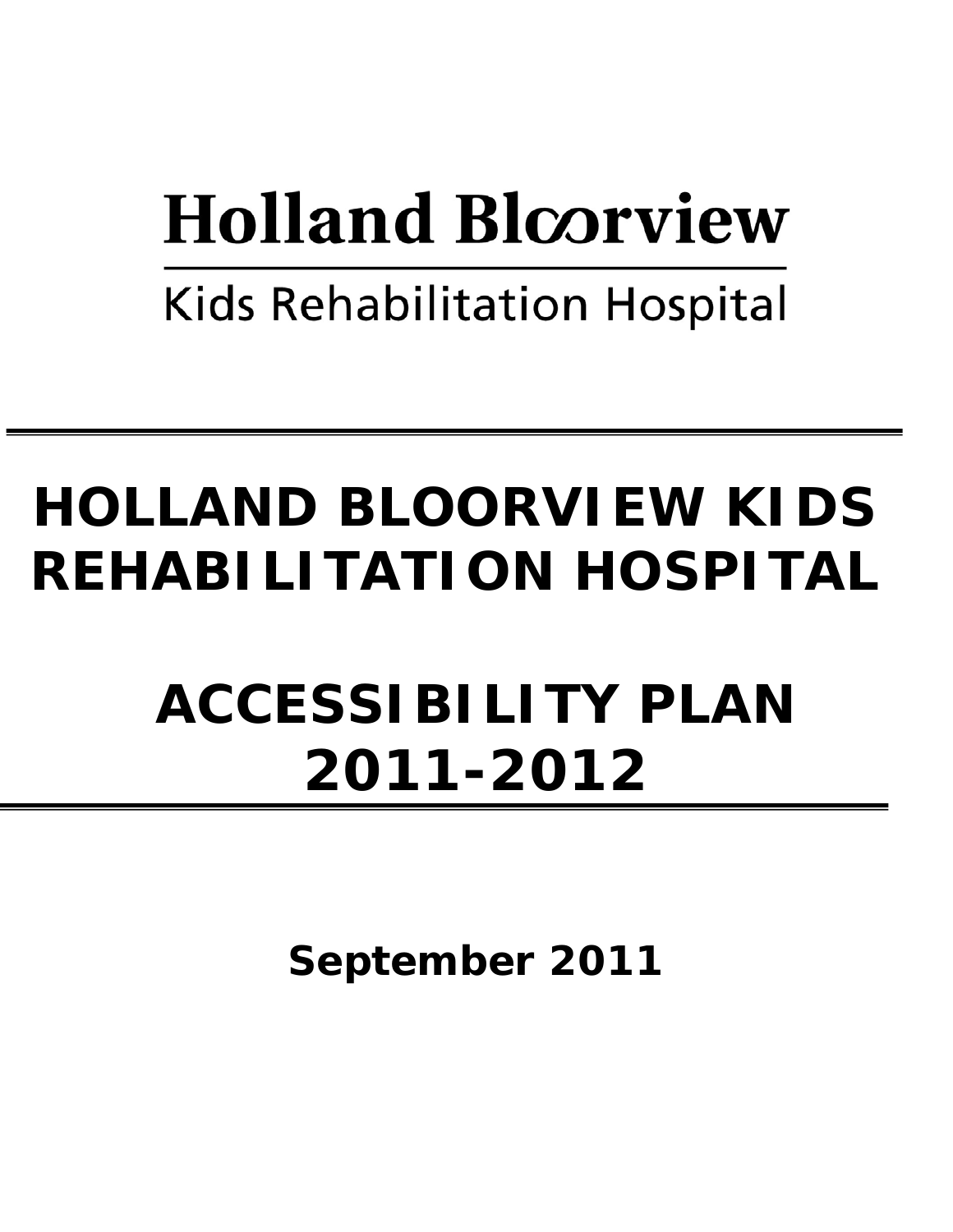# **Holland Bloorview**

**Kids Rehabilitation Hospital** 

# **HOLLAND BLOORVIEW KIDS REHABILITATION HOSPITAL**

# **ACCESSIBILITY PLAN 2011-2012**

**September 2011**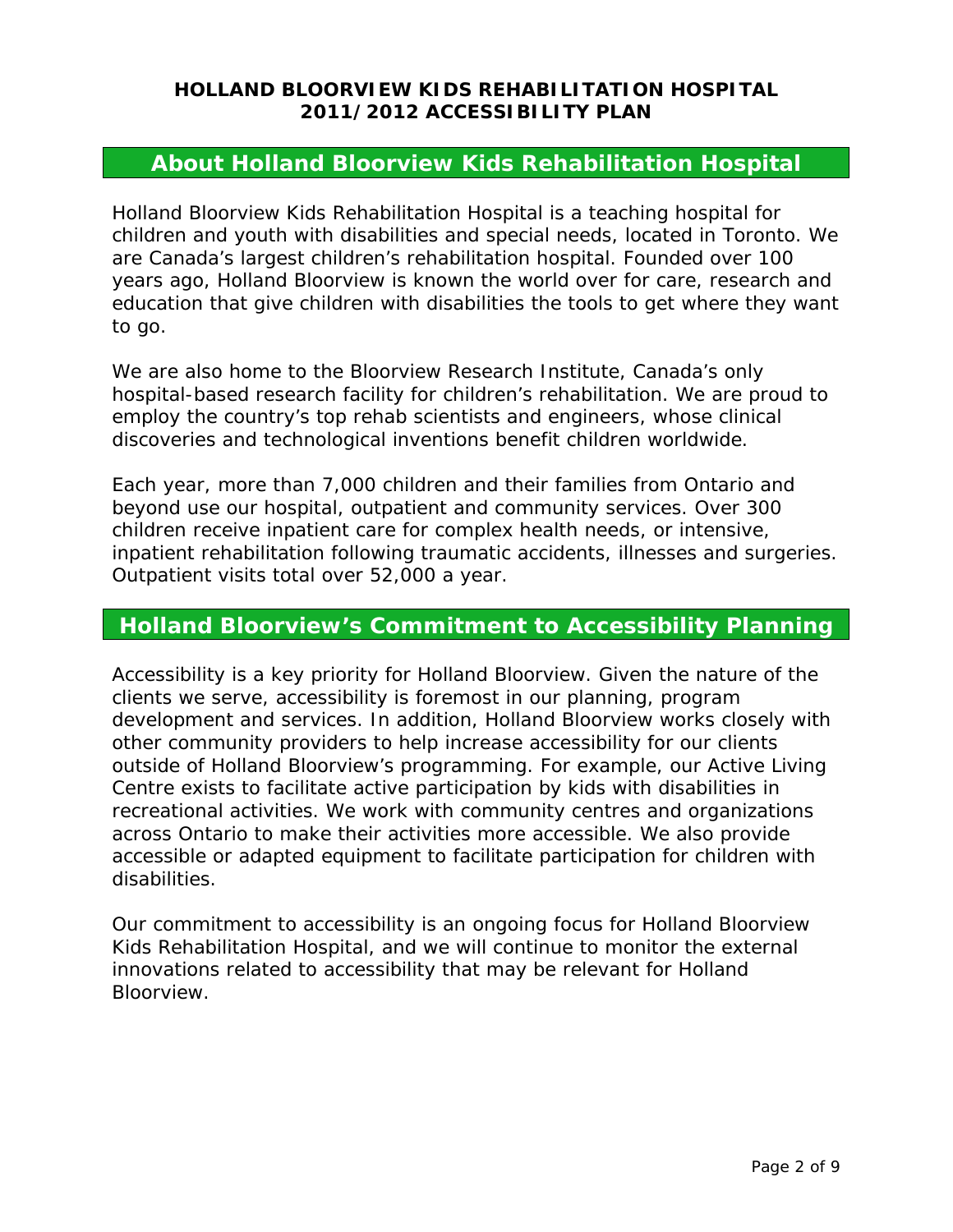# **About Holland Bloorview Kids Rehabilitation Hospital**

Holland Bloorview Kids Rehabilitation Hospital is a teaching hospital for children and youth with disabilities and special needs, located in Toronto. We are Canada's largest children's rehabilitation hospital. Founded over 100 years ago, Holland Bloorview is known the world over for care, research and education that give children with disabilities the tools to get where they want to go.

We are also home to the Bloorview Research Institute, Canada's only hospital-based research facility for children's rehabilitation. We are proud to employ the country's top rehab scientists and engineers, whose clinical discoveries and technological inventions benefit children worldwide.

Each year, more than 7,000 children and their families from Ontario and beyond use our hospital, outpatient and community services. Over 300 children receive inpatient care for complex health needs, or intensive, inpatient rehabilitation following traumatic accidents, illnesses and surgeries. Outpatient visits total over 52,000 a year.

# **Holland Bloorview's Commitment to Accessibility Planning**

Accessibility is a key priority for Holland Bloorview. Given the nature of the clients we serve, accessibility is foremost in our planning, program development and services. In addition, Holland Bloorview works closely with other community providers to help increase accessibility for our clients outside of Holland Bloorview's programming. For example, our Active Living Centre exists to facilitate active participation by kids with disabilities in recreational activities. We work with community centres and organizations across Ontario to make their activities more accessible. We also provide accessible or adapted equipment to facilitate participation for children with disabilities.

Our commitment to accessibility is an ongoing focus for Holland Bloorview Kids Rehabilitation Hospital, and we will continue to monitor the external innovations related to accessibility that may be relevant for Holland Bloorview.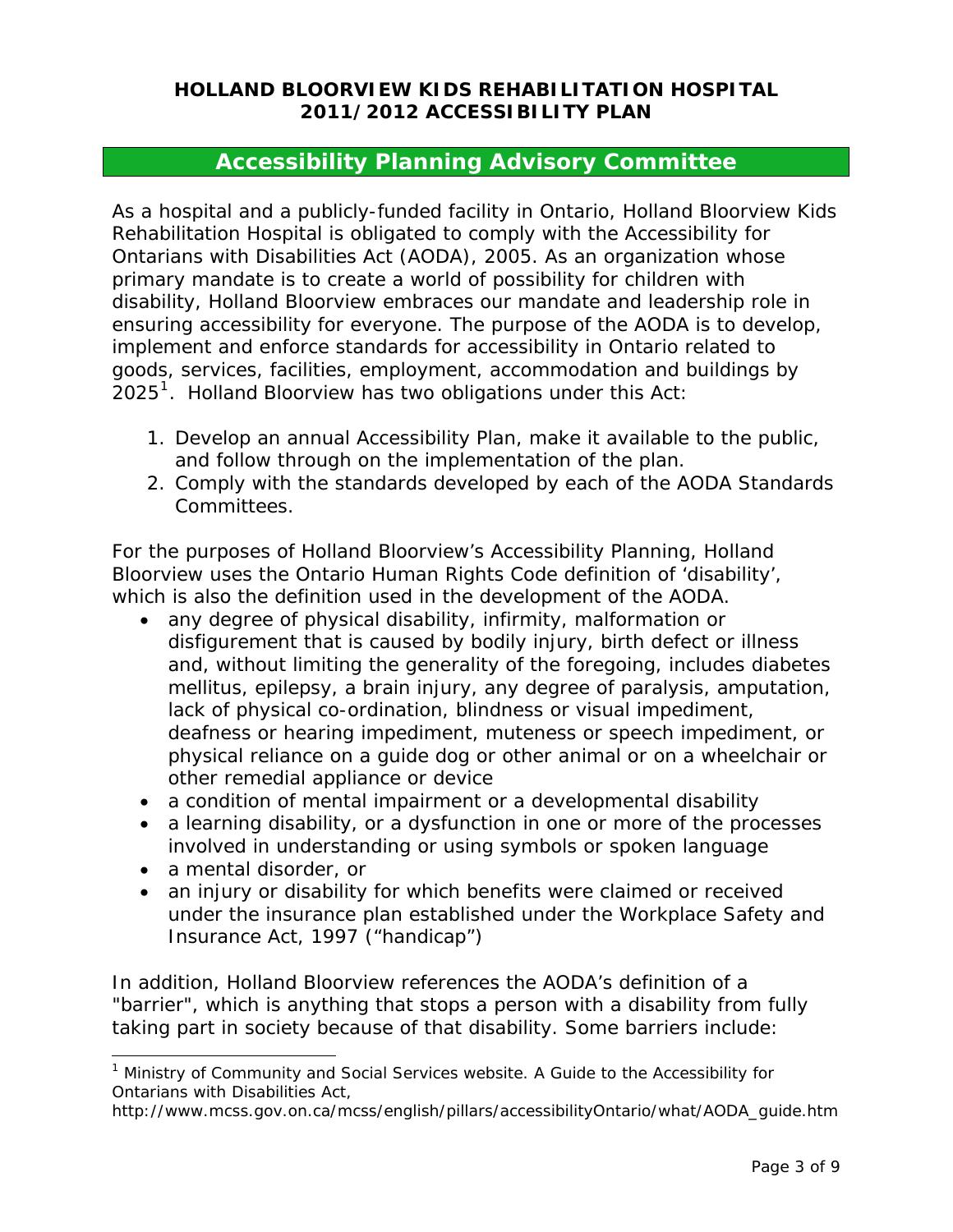### **Accessibility Planning Advisory Committee**

As a hospital and a publicly-funded facility in Ontario, Holland Bloorview Kids Rehabilitation Hospital is obligated to comply with the Accessibility for Ontarians with Disabilities Act (AODA), 2005. As an organization whose primary mandate is to create a world of possibility for children with disability, Holland Bloorview embraces our mandate and leadership role in ensuring accessibility for everyone. The purpose of the AODA is to develop, implement and enforce standards for accessibility in Ontario related to goods, services, facilities, employment, accommodation and buildings by  $2025<sup>1</sup>$  $2025<sup>1</sup>$  $2025<sup>1</sup>$ . Holland Bloorview has two obligations under this Act:

- 1. Develop an annual Accessibility Plan, make it available to the public, and follow through on the implementation of the plan.
- 2. Comply with the standards developed by each of the AODA Standards Committees.

For the purposes of Holland Bloorview's Accessibility Planning, Holland Bloorview uses the Ontario Human Rights Code definition of 'disability', which is also the definition used in the development of the AODA.

- any degree of physical disability, infirmity, malformation or disfigurement that is caused by bodily injury, birth defect or illness and, without limiting the generality of the foregoing, includes diabetes mellitus, epilepsy, a brain injury, any degree of paralysis, amputation, lack of physical co-ordination, blindness or visual impediment, deafness or hearing impediment, muteness or speech impediment, or physical reliance on a guide dog or other animal or on a wheelchair or other remedial appliance or device
- a condition of mental impairment or a developmental disability
- a learning disability, or a dysfunction in one or more of the processes involved in understanding or using symbols or spoken language
- a mental disorder, or

 $\overline{a}$ 

• an injury or disability for which benefits were claimed or received under the insurance plan established under the Workplace Safety and Insurance Act, 1997 ("handicap")

In addition, Holland Bloorview references the AODA's definition of a "barrier", which is anything that stops a person with a disability from fully taking part in society because of that disability. Some barriers include:

<span id="page-2-0"></span><sup>&</sup>lt;sup>1</sup> Ministry of Community and Social Services website. A Guide to the Accessibility for Ontarians with Disabilities Act,

http://www.mcss.gov.on.ca/mcss/english/pillars/accessibilityOntario/what/AODA\_guide.htm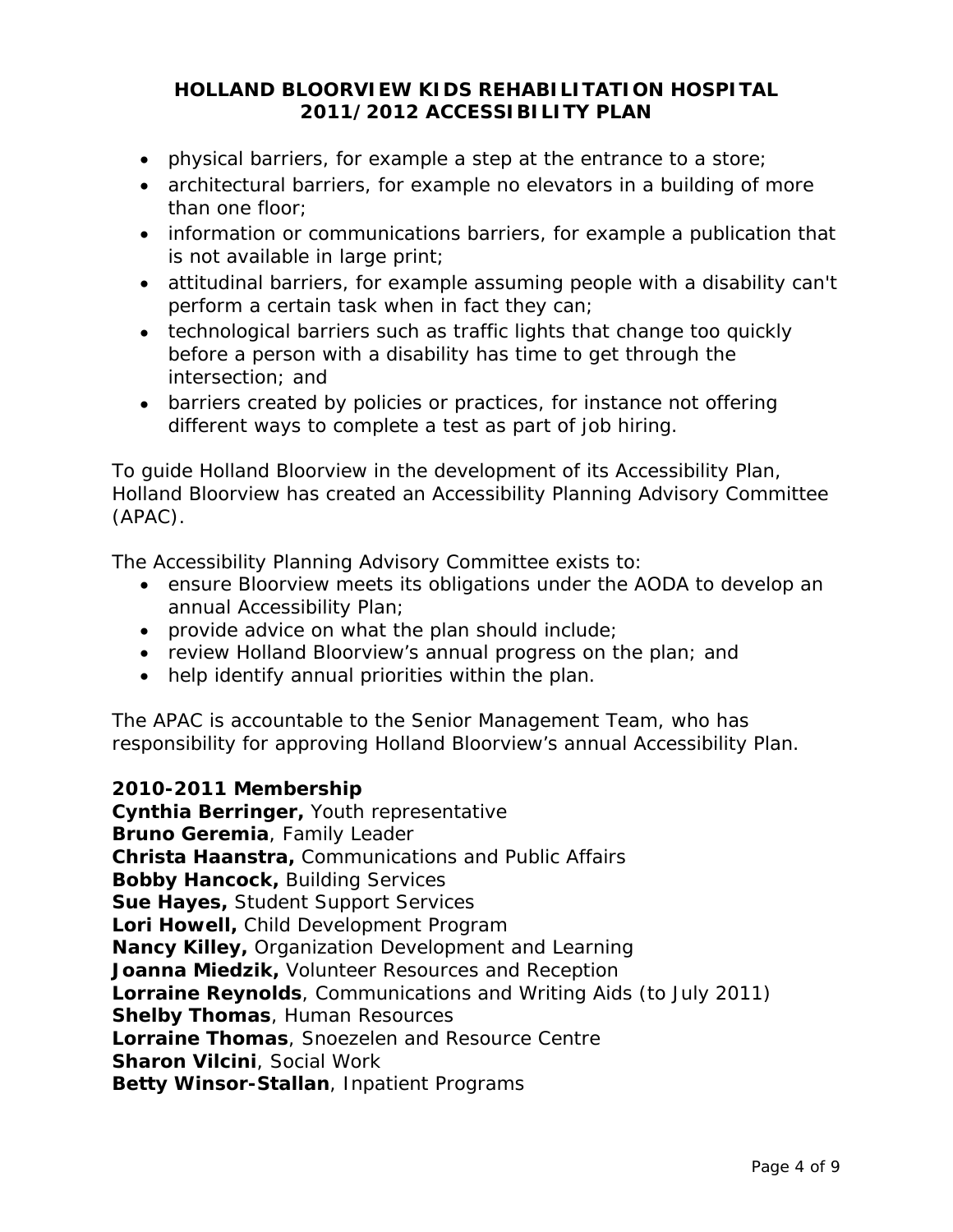- physical barriers, for example a step at the entrance to a store;
- architectural barriers, for example no elevators in a building of more than one floor;
- information or communications barriers, for example a publication that is not available in large print;
- attitudinal barriers, for example assuming people with a disability can't perform a certain task when in fact they can;
- technological barriers such as traffic lights that change too quickly before a person with a disability has time to get through the intersection; and
- barriers created by policies or practices, for instance not offering different ways to complete a test as part of job hiring.

To guide Holland Bloorview in the development of its Accessibility Plan, Holland Bloorview has created an Accessibility Planning Advisory Committee (APAC).

The Accessibility Planning Advisory Committee exists to:

- ensure Bloorview meets its obligations under the AODA to develop an annual Accessibility Plan;
- provide advice on what the plan should include;
- review Holland Bloorview's annual progress on the plan; and
- help identify annual priorities within the plan.

The APAC is accountable to the Senior Management Team, who has responsibility for approving Holland Bloorview's annual Accessibility Plan.

#### **2010-2011 Membership**

**Cynthia Berringer,** Youth representative **Bruno Geremia**, Family Leader **Christa Haanstra,** Communications and Public Affairs **Bobby Hancock,** Building Services **Sue Hayes,** Student Support Services **Lori Howell,** Child Development Program **Nancy Killey,** Organization Development and Learning **Joanna Miedzik,** Volunteer Resources and Reception **Lorraine Reynolds**, Communications and Writing Aids (to July 2011) **Shelby Thomas**, Human Resources **Lorraine Thomas**, Snoezelen and Resource Centre **Sharon Vilcini**, Social Work **Betty Winsor-Stallan**, Inpatient Programs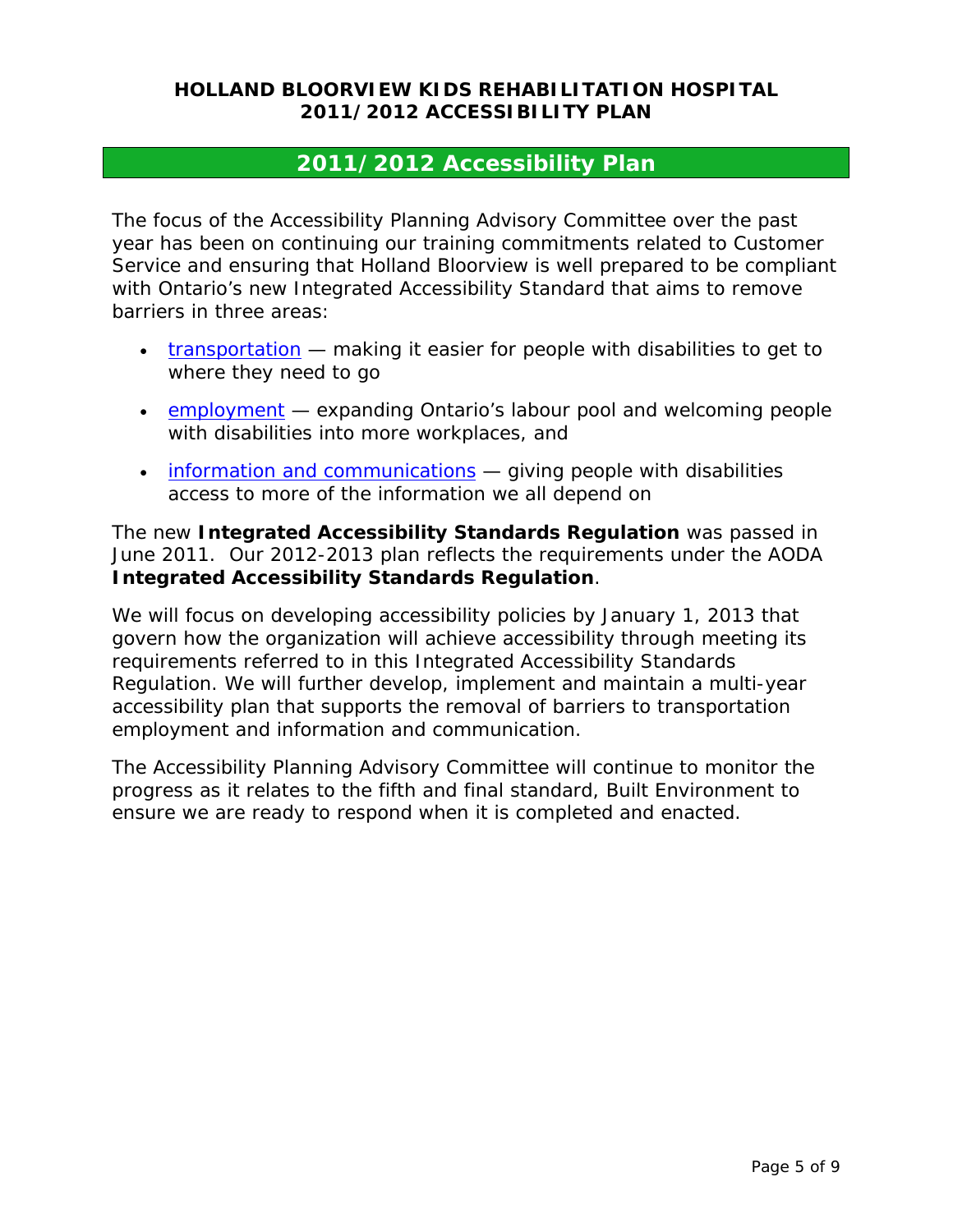# **2011/2012 Accessibility Plan**

The focus of the Accessibility Planning Advisory Committee over the past year has been on continuing our training commitments related to Customer Service and ensuring that Holland Bloorview is well prepared to be compliant with Ontario's new Integrated Accessibility Standard that aims to remove barriers in three areas:

- [transportation](http://www.mcss.gov.on.ca/en/mcss/programs/accessibility/other_standards/transportation/index.aspx)  making it easier for people with disabilities to get to where they need to go
- [employment](http://www.mcss.gov.on.ca/en/mcss/programs/accessibility/other_standards/employment/index.aspx) expanding Ontario's labour pool and welcoming people with disabilities into more workplaces, and
- [information and communications](http://www.mcss.gov.on.ca/en/mcss/programs/accessibility/other_standards/infoComm/index.aspx)  giving people with disabilities access to more of the information we all depend on

The new **Integrated Accessibility Standards Regulation** was passed in June 2011. Our 2012-2013 plan reflects the requirements under the AODA **Integrated Accessibility Standards Regulation**.

We will focus on developing accessibility policies by January 1, 2013 that govern how the organization will achieve accessibility through meeting its requirements referred to in this Integrated Accessibility Standards Regulation. We will further develop, implement and maintain a multi-year accessibility plan that supports the removal of barriers to transportation employment and information and communication.

The Accessibility Planning Advisory Committee will continue to monitor the progress as it relates to the fifth and final standard, Built Environment to ensure we are ready to respond when it is completed and enacted.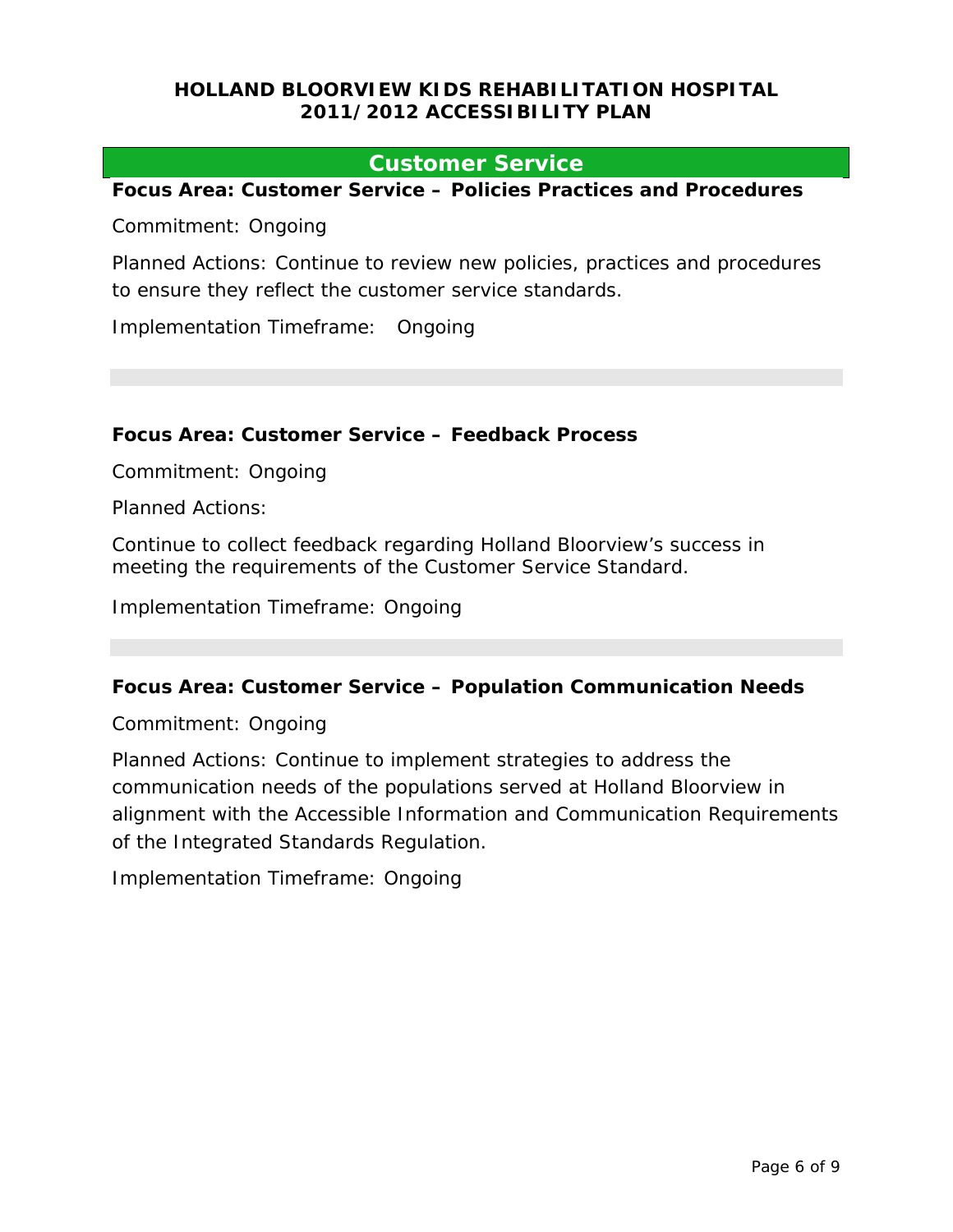#### **Customer Service**

**Focus Area: Customer Service – Policies Practices and Procedures** 

Commitment: Ongoing

Planned Actions: Continue to review new policies, practices and procedures to ensure they reflect the customer service standards.

Implementation Timeframe: Ongoing

#### **Focus Area: Customer Service – Feedback Process**

Commitment: Ongoing

Planned Actions:

Continue to collect feedback regarding Holland Bloorview's success in meeting the requirements of the Customer Service Standard.

Implementation Timeframe: Ongoing

#### **Focus Area: Customer Service – Population Communication Needs**

Commitment: Ongoing

Planned Actions: Continue to implement strategies to address the communication needs of the populations served at Holland Bloorview in alignment with the Accessible Information and Communication Requirements of the Integrated Standards Regulation.

Implementation Timeframe: Ongoing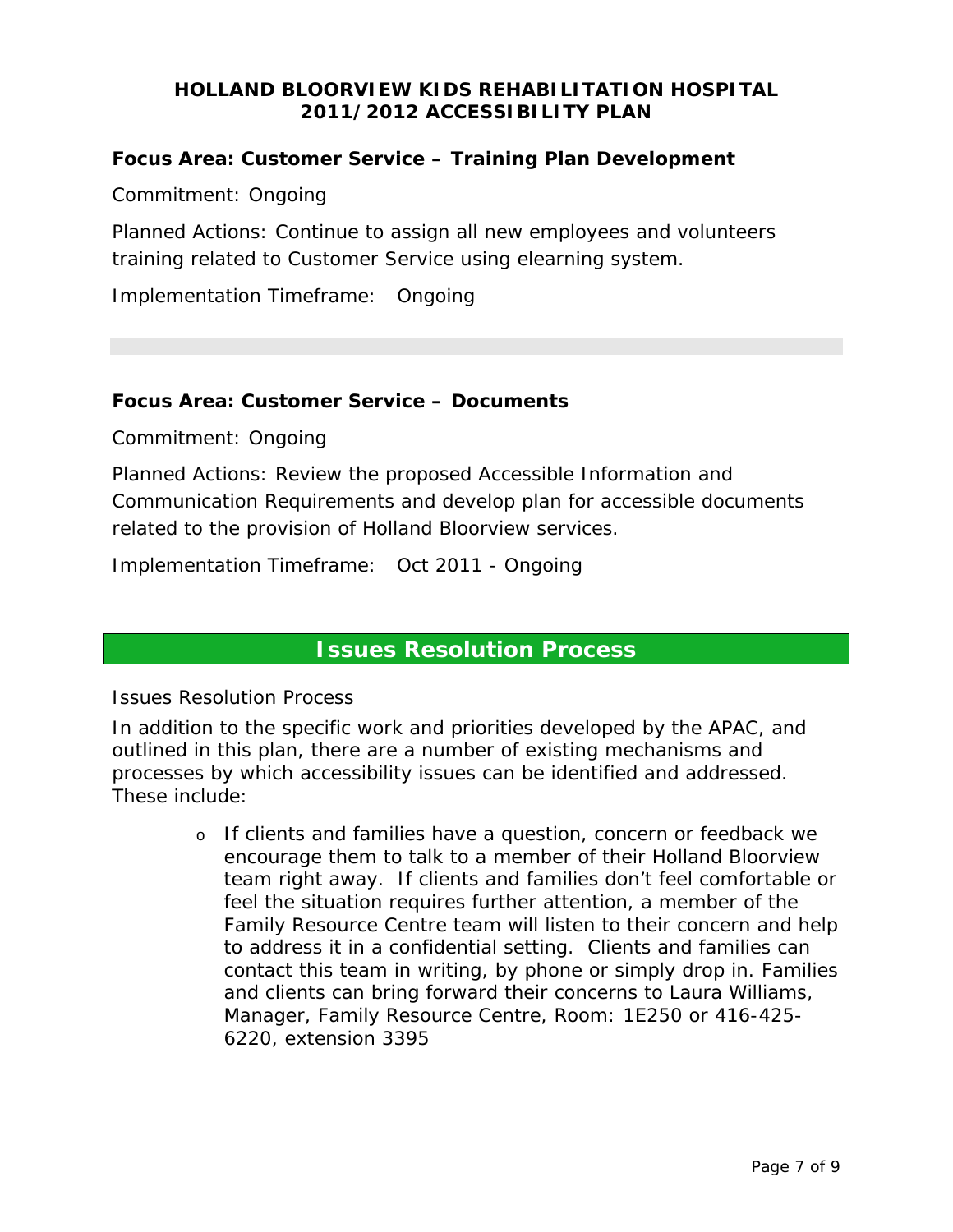#### **Focus Area: Customer Service – Training Plan Development**

Commitment: Ongoing

Planned Actions: Continue to assign all new employees and volunteers training related to Customer Service using elearning system.

Implementation Timeframe: Ongoing

#### **Focus Area: Customer Service – Documents**

Commitment: Ongoing

Planned Actions: Review the proposed Accessible Information and Communication Requirements and develop plan for accessible documents related to the provision of Holland Bloorview services.

Implementation Timeframe: Oct 2011 - Ongoing

### **Issues Resolution Process**

#### Issues Resolution Process

In addition to the specific work and priorities developed by the APAC, and outlined in this plan, there are a number of existing mechanisms and processes by which accessibility issues can be identified and addressed. These include:

> o If clients and families have a question, concern or feedback we encourage them to talk to a member of their Holland Bloorview team right away. If clients and families don't feel comfortable or feel the situation requires further attention, a member of the Family Resource Centre team will listen to their concern and help to address it in a confidential setting. Clients and families can contact this team in writing, by phone or simply drop in. Families and clients can bring forward their concerns to Laura Williams, Manager, Family Resource Centre, Room: 1E250 or 416-425- 6220, extension 3395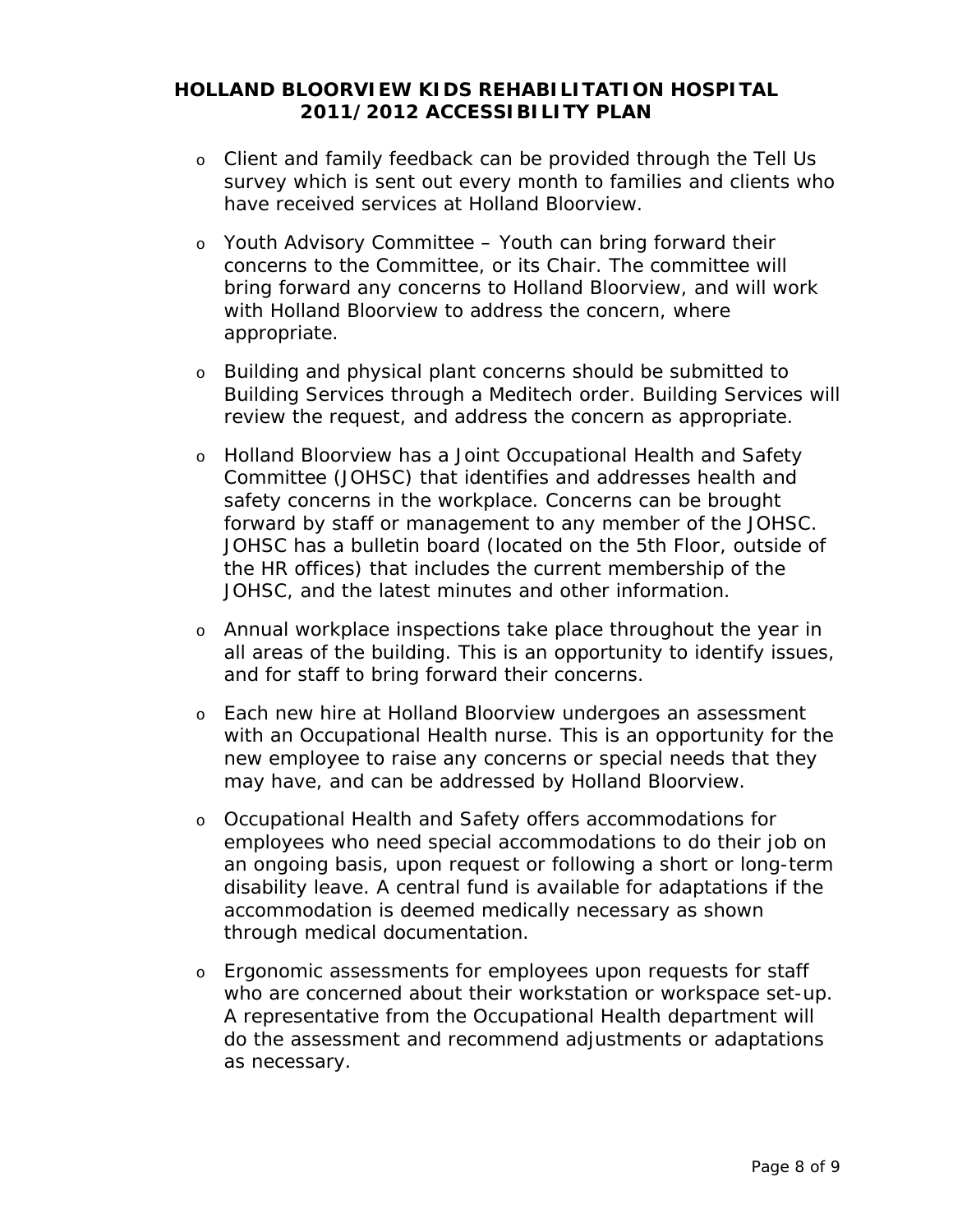- o Client and family feedback can be provided through the *Tell Us* survey which is sent out every month to families and clients who have received services at Holland Bloorview.
- o Youth Advisory Committee Youth can bring forward their concerns to the Committee, or its Chair. The committee will bring forward any concerns to Holland Bloorview, and will work with Holland Bloorview to address the concern, where appropriate.
- o Building and physical plant concerns should be submitted to Building Services through a Meditech order. Building Services will review the request, and address the concern as appropriate.
- o Holland Bloorview has a Joint Occupational Health and Safety Committee (JOHSC) that identifies and addresses health and safety concerns in the workplace. Concerns can be brought forward by staff or management to any member of the JOHSC. JOHSC has a bulletin board (located on the 5th Floor, outside of the HR offices) that includes the current membership of the JOHSC, and the latest minutes and other information.
- o Annual workplace inspections take place throughout the year in all areas of the building. This is an opportunity to identify issues, and for staff to bring forward their concerns.
- o Each new hire at Holland Bloorview undergoes an assessment with an Occupational Health nurse. This is an opportunity for the new employee to raise any concerns or special needs that they may have, and can be addressed by Holland Bloorview.
- o Occupational Health and Safety offers accommodations for employees who need special accommodations to do their job on an ongoing basis, upon request or following a short or long-term disability leave. A central fund is available for adaptations if the accommodation is deemed medically necessary as shown through medical documentation.
- o Ergonomic assessments for employees upon requests for staff who are concerned about their workstation or workspace set-up. A representative from the Occupational Health department will do the assessment and recommend adjustments or adaptations as necessary.